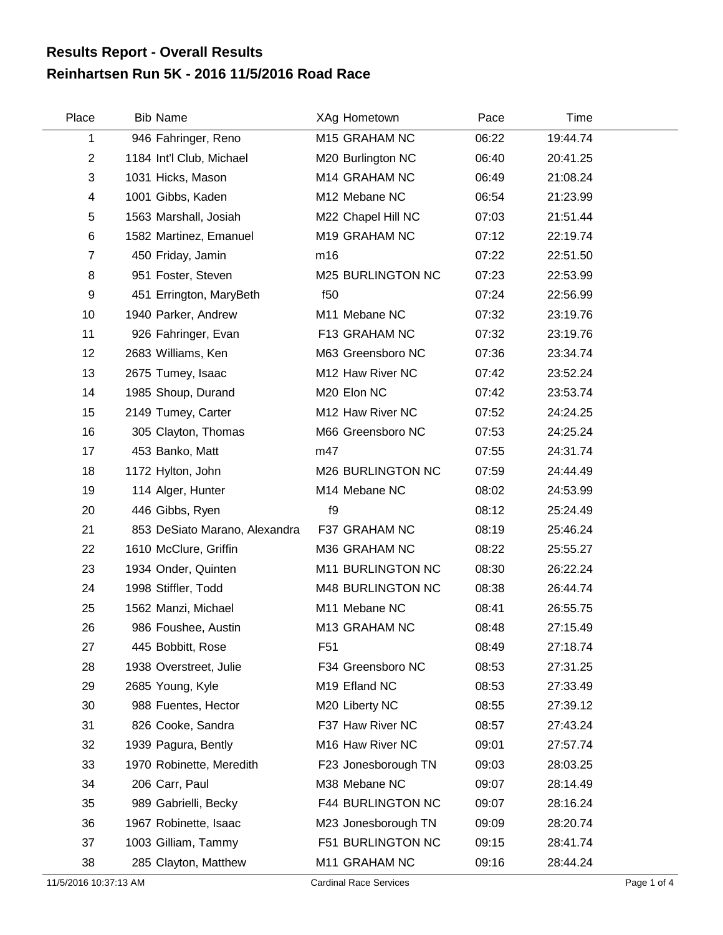## **Reinhartsen Run 5K - 2016 11/5/2016 Road Race Results Report - Overall Results**

| Place          | <b>Bib Name</b>               | XAg Hometown             | Pace  | Time     |  |
|----------------|-------------------------------|--------------------------|-------|----------|--|
| 1              | 946 Fahringer, Reno           | M15 GRAHAM NC            | 06:22 | 19:44.74 |  |
| $\overline{2}$ | 1184 Int'l Club, Michael      | M20 Burlington NC        | 06:40 | 20:41.25 |  |
| 3              | 1031 Hicks, Mason             | M14 GRAHAM NC            | 06:49 | 21:08.24 |  |
| 4              | 1001 Gibbs, Kaden             | M12 Mebane NC            | 06:54 | 21:23.99 |  |
| 5              | 1563 Marshall, Josiah         | M22 Chapel Hill NC       | 07:03 | 21:51.44 |  |
| 6              | 1582 Martinez, Emanuel        | M19 GRAHAM NC            | 07:12 | 22:19.74 |  |
| $\overline{7}$ | 450 Friday, Jamin             | m16                      | 07:22 | 22:51.50 |  |
| 8              | 951 Foster, Steven            | M25 BURLINGTON NC        | 07:23 | 22:53.99 |  |
| 9              | 451 Errington, MaryBeth       | f <sub>50</sub>          | 07:24 | 22:56.99 |  |
| 10             | 1940 Parker, Andrew           | M11 Mebane NC            | 07:32 | 23:19.76 |  |
| 11             | 926 Fahringer, Evan           | F13 GRAHAM NC            | 07:32 | 23:19.76 |  |
| 12             | 2683 Williams, Ken            | M63 Greensboro NC        | 07:36 | 23:34.74 |  |
| 13             | 2675 Tumey, Isaac             | M12 Haw River NC         | 07:42 | 23:52.24 |  |
| 14             | 1985 Shoup, Durand            | M20 Elon NC              | 07:42 | 23:53.74 |  |
| 15             | 2149 Tumey, Carter            | M12 Haw River NC         | 07:52 | 24:24.25 |  |
| 16             | 305 Clayton, Thomas           | M66 Greensboro NC        | 07:53 | 24:25.24 |  |
| 17             | 453 Banko, Matt               | m47                      | 07:55 | 24:31.74 |  |
| 18             | 1172 Hylton, John             | M26 BURLINGTON NC        | 07:59 | 24:44.49 |  |
| 19             | 114 Alger, Hunter             | M14 Mebane NC            | 08:02 | 24:53.99 |  |
| 20             | 446 Gibbs, Ryen               | f9                       | 08:12 | 25:24.49 |  |
| 21             | 853 DeSiato Marano, Alexandra | F37 GRAHAM NC            | 08:19 | 25:46.24 |  |
| 22             | 1610 McClure, Griffin         | M36 GRAHAM NC            | 08:22 | 25:55.27 |  |
| 23             | 1934 Onder, Quinten           | M11 BURLINGTON NC        | 08:30 | 26:22.24 |  |
| 24             | 1998 Stiffler, Todd           | M48 BURLINGTON NC        | 08:38 | 26:44.74 |  |
| 25             | 1562 Manzi, Michael           | M11 Mebane NC            | 08:41 | 26:55.75 |  |
| 26             | 986 Foushee, Austin           | M13 GRAHAM NC            | 08:48 | 27:15.49 |  |
| 27             | 445 Bobbitt, Rose             | F51                      | 08:49 | 27:18.74 |  |
| 28             | 1938 Overstreet, Julie        | F34 Greensboro NC        | 08:53 | 27:31.25 |  |
| 29             | 2685 Young, Kyle              | M19 Efland NC            | 08:53 | 27:33.49 |  |
| 30             | 988 Fuentes, Hector           | M20 Liberty NC           | 08:55 | 27:39.12 |  |
| 31             | 826 Cooke, Sandra             | F37 Haw River NC         | 08:57 | 27:43.24 |  |
| 32             | 1939 Pagura, Bently           | M16 Haw River NC         | 09:01 | 27:57.74 |  |
| 33             | 1970 Robinette, Meredith      | F23 Jonesborough TN      | 09:03 | 28:03.25 |  |
| 34             | 206 Carr, Paul                | M38 Mebane NC            | 09:07 | 28:14.49 |  |
| 35             | 989 Gabrielli, Becky          | <b>F44 BURLINGTON NC</b> | 09:07 | 28:16.24 |  |
| 36             | 1967 Robinette, Isaac         | M23 Jonesborough TN      | 09:09 | 28:20.74 |  |
| 37             | 1003 Gilliam, Tammy           | F51 BURLINGTON NC        | 09:15 | 28:41.74 |  |
| 38             | 285 Clayton, Matthew          | M11 GRAHAM NC            | 09:16 | 28:44.24 |  |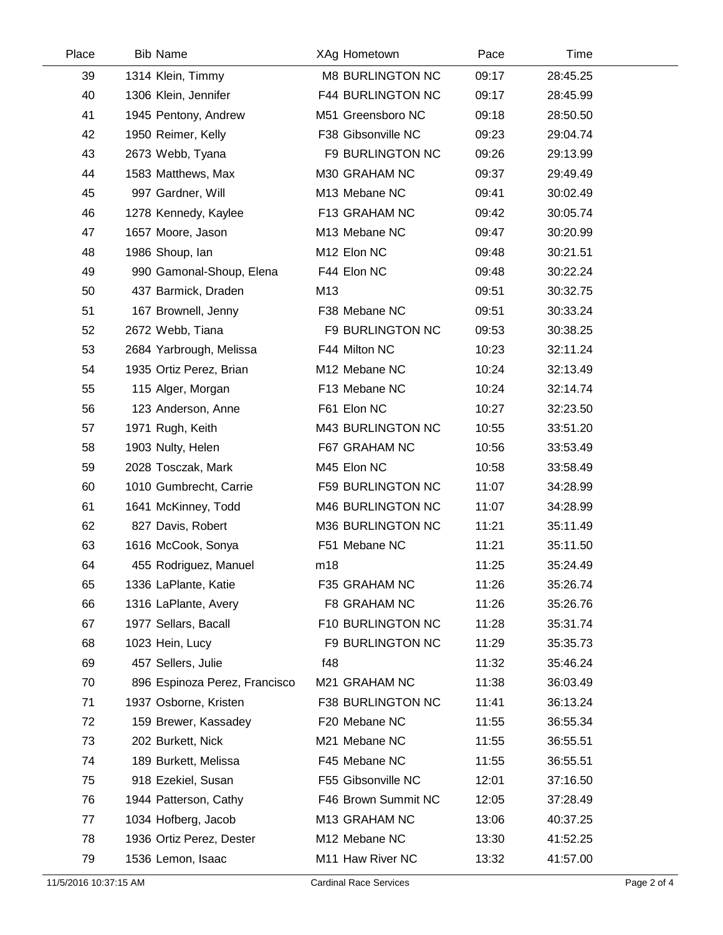| Place | <b>Bib Name</b>               | XAg Hometown       |                          | Pace  | Time     |
|-------|-------------------------------|--------------------|--------------------------|-------|----------|
| 39    | 1314 Klein, Timmy             |                    | <b>M8 BURLINGTON NC</b>  | 09:17 | 28:45.25 |
| 40    | 1306 Klein, Jennifer          |                    | F44 BURLINGTON NC        | 09:17 | 28:45.99 |
| 41    | 1945 Pentony, Andrew          | M51 Greensboro NC  |                          | 09:18 | 28:50.50 |
| 42    | 1950 Reimer, Kelly            | F38 Gibsonville NC |                          | 09:23 | 29:04.74 |
| 43    | 2673 Webb, Tyana              |                    | F9 BURLINGTON NC         | 09:26 | 29:13.99 |
| 44    | 1583 Matthews, Max            | M30 GRAHAM NC      |                          | 09:37 | 29:49.49 |
| 45    | 997 Gardner, Will             | M13 Mebane NC      |                          | 09:41 | 30:02.49 |
| 46    | 1278 Kennedy, Kaylee          | F13 GRAHAM NC      |                          | 09:42 | 30:05.74 |
| 47    | 1657 Moore, Jason             | M13 Mebane NC      |                          | 09:47 | 30:20.99 |
| 48    | 1986 Shoup, lan               | M12 Elon NC        |                          | 09:48 | 30:21.51 |
| 49    | 990 Gamonal-Shoup, Elena      | F44 Elon NC        |                          | 09:48 | 30:22.24 |
| 50    | 437 Barmick, Draden           | M13                |                          | 09:51 | 30:32.75 |
| 51    | 167 Brownell, Jenny           | F38 Mebane NC      |                          | 09:51 | 30:33.24 |
| 52    | 2672 Webb, Tiana              |                    | F9 BURLINGTON NC         | 09:53 | 30:38.25 |
| 53    | 2684 Yarbrough, Melissa       | F44 Milton NC      |                          | 10:23 | 32:11.24 |
| 54    | 1935 Ortiz Perez, Brian       | M12 Mebane NC      |                          | 10:24 | 32:13.49 |
| 55    | 115 Alger, Morgan             | F13 Mebane NC      |                          | 10:24 | 32:14.74 |
| 56    | 123 Anderson, Anne            | F61 Elon NC        |                          | 10:27 | 32:23.50 |
| 57    | 1971 Rugh, Keith              |                    | M43 BURLINGTON NC        | 10:55 | 33:51.20 |
| 58    | 1903 Nulty, Helen             | F67 GRAHAM NC      |                          | 10:56 | 33:53.49 |
| 59    | 2028 Tosczak, Mark            | M45 Elon NC        |                          | 10:58 | 33:58.49 |
| 60    | 1010 Gumbrecht, Carrie        |                    | <b>F59 BURLINGTON NC</b> | 11:07 | 34:28.99 |
| 61    | 1641 McKinney, Todd           |                    | M46 BURLINGTON NC        | 11:07 | 34:28.99 |
| 62    | 827 Davis, Robert             |                    | M36 BURLINGTON NC        | 11:21 | 35:11.49 |
| 63    | 1616 McCook, Sonya            | F51 Mebane NC      |                          | 11:21 | 35:11.50 |
| 64    | 455 Rodriguez, Manuel         | m18                |                          | 11:25 | 35:24.49 |
| 65    | 1336 LaPlante, Katie          | F35 GRAHAM NC      |                          | 11:26 | 35:26.74 |
| 66    | 1316 LaPlante, Avery          | F8 GRAHAM NC       |                          | 11:26 | 35:26.76 |
| 67    | 1977 Sellars, Bacall          |                    | F10 BURLINGTON NC        | 11:28 | 35:31.74 |
| 68    | 1023 Hein, Lucy               |                    | F9 BURLINGTON NC         | 11:29 | 35:35.73 |
| 69    | 457 Sellers, Julie            | f48                |                          | 11:32 | 35:46.24 |
| 70    | 896 Espinoza Perez, Francisco | M21 GRAHAM NC      |                          | 11:38 | 36:03.49 |
| 71    | 1937 Osborne, Kristen         |                    | F38 BURLINGTON NC        | 11:41 | 36:13.24 |
| 72    | 159 Brewer, Kassadey          | F20 Mebane NC      |                          | 11:55 | 36:55.34 |
| 73    | 202 Burkett, Nick             | M21 Mebane NC      |                          | 11:55 | 36:55.51 |
| 74    | 189 Burkett, Melissa          | F45 Mebane NC      |                          | 11:55 | 36:55.51 |
| 75    | 918 Ezekiel, Susan            | F55 Gibsonville NC |                          | 12:01 | 37:16.50 |
| 76    | 1944 Patterson, Cathy         |                    | F46 Brown Summit NC      | 12:05 | 37:28.49 |
| 77    | 1034 Hofberg, Jacob           | M13 GRAHAM NC      |                          | 13:06 | 40:37.25 |
| 78    | 1936 Ortiz Perez, Dester      | M12 Mebane NC      |                          | 13:30 | 41:52.25 |
| 79    | 1536 Lemon, Isaac             | M11 Haw River NC   |                          | 13:32 | 41:57.00 |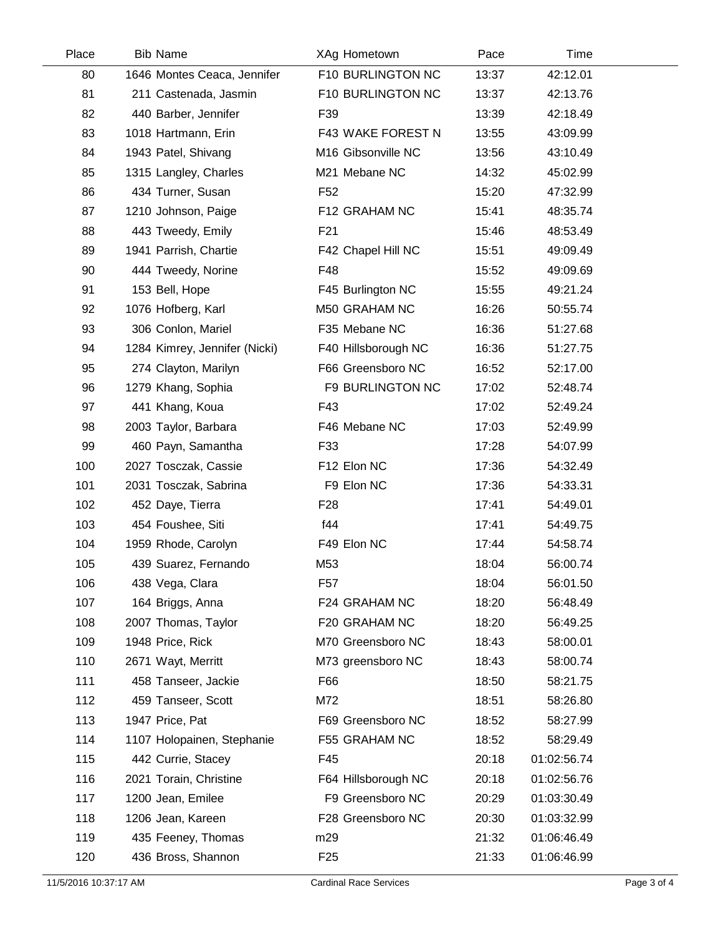| Place | <b>Bib Name</b>               | XAg Hometown        | Pace  | Time        |  |
|-------|-------------------------------|---------------------|-------|-------------|--|
| 80    | 1646 Montes Ceaca, Jennifer   | F10 BURLINGTON NC   | 13:37 | 42:12.01    |  |
| 81    | 211 Castenada, Jasmin         | F10 BURLINGTON NC   | 13:37 | 42:13.76    |  |
| 82    | 440 Barber, Jennifer          | F39                 | 13:39 | 42:18.49    |  |
| 83    | 1018 Hartmann, Erin           | F43 WAKE FOREST N   | 13:55 | 43:09.99    |  |
| 84    | 1943 Patel, Shivang           | M16 Gibsonville NC  | 13:56 | 43:10.49    |  |
| 85    | 1315 Langley, Charles         | M21 Mebane NC       | 14:32 | 45:02.99    |  |
| 86    | 434 Turner, Susan             | F <sub>52</sub>     | 15:20 | 47:32.99    |  |
| 87    | 1210 Johnson, Paige           | F12 GRAHAM NC       | 15:41 | 48:35.74    |  |
| 88    | 443 Tweedy, Emily             | F <sub>21</sub>     | 15:46 | 48:53.49    |  |
| 89    | 1941 Parrish, Chartie         | F42 Chapel Hill NC  | 15:51 | 49:09.49    |  |
| 90    | 444 Tweedy, Norine            | F48                 | 15:52 | 49:09.69    |  |
| 91    | 153 Bell, Hope                | F45 Burlington NC   | 15:55 | 49:21.24    |  |
| 92    | 1076 Hofberg, Karl            | M50 GRAHAM NC       | 16:26 | 50:55.74    |  |
| 93    | 306 Conlon, Mariel            | F35 Mebane NC       | 16:36 | 51:27.68    |  |
| 94    | 1284 Kimrey, Jennifer (Nicki) | F40 Hillsborough NC | 16:36 | 51:27.75    |  |
| 95    | 274 Clayton, Marilyn          | F66 Greensboro NC   | 16:52 | 52:17.00    |  |
| 96    | 1279 Khang, Sophia            | F9 BURLINGTON NC    | 17:02 | 52:48.74    |  |
| 97    | 441 Khang, Koua               | F43                 | 17:02 | 52:49.24    |  |
| 98    | 2003 Taylor, Barbara          | F46 Mebane NC       | 17:03 | 52:49.99    |  |
| 99    | 460 Payn, Samantha            | F33                 | 17:28 | 54:07.99    |  |
| 100   | 2027 Tosczak, Cassie          | F12 Elon NC         | 17:36 | 54:32.49    |  |
| 101   | 2031 Tosczak, Sabrina         | F9 Elon NC          | 17:36 | 54:33.31    |  |
| 102   | 452 Daye, Tierra              | F <sub>28</sub>     | 17:41 | 54:49.01    |  |
| 103   | 454 Foushee, Siti             | f44                 | 17:41 | 54:49.75    |  |
| 104   | 1959 Rhode, Carolyn           | F49 Elon NC         | 17:44 | 54:58.74    |  |
| 105   | 439 Suarez, Fernando          | M53                 | 18:04 | 56:00.74    |  |
| 106   | 438 Vega, Clara               | F57                 | 18:04 | 56:01.50    |  |
| 107   | 164 Briggs, Anna              | F24 GRAHAM NC       | 18:20 | 56:48.49    |  |
| 108   | 2007 Thomas, Taylor           | F20 GRAHAM NC       | 18:20 | 56:49.25    |  |
| 109   | 1948 Price, Rick              | M70 Greensboro NC   | 18:43 | 58:00.01    |  |
| 110   | 2671 Wayt, Merritt            | M73 greensboro NC   | 18:43 | 58:00.74    |  |
| 111   | 458 Tanseer, Jackie           | F66                 | 18:50 | 58:21.75    |  |
| 112   | 459 Tanseer, Scott            | M72                 | 18:51 | 58:26.80    |  |
| 113   | 1947 Price, Pat               | F69 Greensboro NC   | 18:52 | 58:27.99    |  |
| 114   | 1107 Holopainen, Stephanie    | F55 GRAHAM NC       | 18:52 | 58:29.49    |  |
| 115   | 442 Currie, Stacey            | F45                 | 20:18 | 01:02:56.74 |  |
| 116   | 2021 Torain, Christine        | F64 Hillsborough NC | 20:18 | 01:02:56.76 |  |
| 117   | 1200 Jean, Emilee             | F9 Greensboro NC    | 20:29 | 01:03:30.49 |  |
| 118   | 1206 Jean, Kareen             | F28 Greensboro NC   | 20:30 | 01:03:32.99 |  |
| 119   | 435 Feeney, Thomas            | m29                 | 21:32 | 01:06:46.49 |  |
| 120   | 436 Bross, Shannon            | F <sub>25</sub>     | 21:33 | 01:06:46.99 |  |